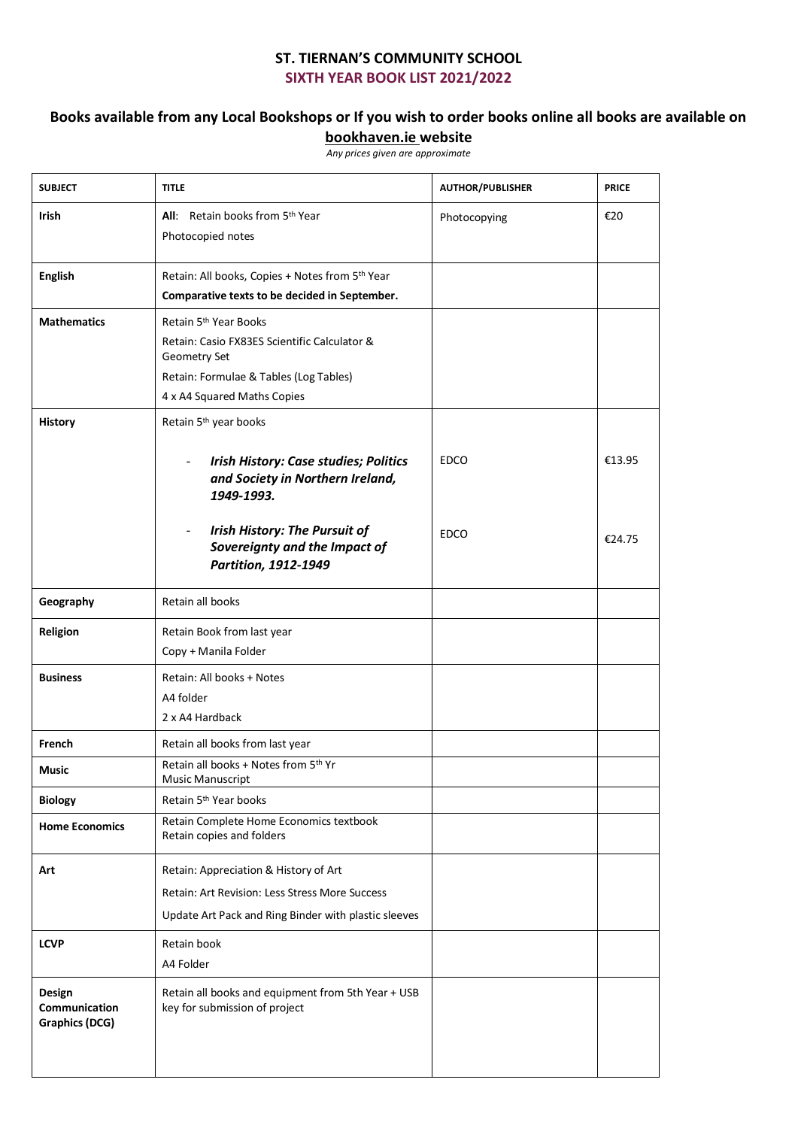## **ST. TIERNAN'S COMMUNITY SCHOOL SIXTH YEAR BOOK LIST 2021/2022**

## **Books available from any Local Bookshops or If you wish to order books online all books are available on**

**bookhaven.ie website** 

*Any prices given are approximate*

| <b>SUBJECT</b>                                   | <b>TITLE</b>                                                                                                                                                               | <b>AUTHOR/PUBLISHER</b> | <b>PRICE</b> |
|--------------------------------------------------|----------------------------------------------------------------------------------------------------------------------------------------------------------------------------|-------------------------|--------------|
| <b>Irish</b>                                     | All: Retain books from 5th Year<br>Photocopied notes                                                                                                                       | Photocopying            | €20          |
| <b>English</b>                                   | Retain: All books, Copies + Notes from 5th Year<br>Comparative texts to be decided in September.                                                                           |                         |              |
| <b>Mathematics</b>                               | Retain 5 <sup>th</sup> Year Books<br>Retain: Casio FX83ES Scientific Calculator &<br>Geometry Set<br>Retain: Formulae & Tables (Log Tables)<br>4 x A4 Squared Maths Copies |                         |              |
| <b>History</b>                                   | Retain 5 <sup>th</sup> year books<br><b>Irish History: Case studies; Politics</b><br>$\overline{\phantom{a}}$<br>and Society in Northern Ireland,<br>1949-1993.            | <b>EDCO</b>             | €13.95       |
|                                                  | <b>Irish History: The Pursuit of</b><br>$\overline{\phantom{0}}$<br>Sovereignty and the Impact of<br>Partition, 1912-1949                                                  | <b>EDCO</b>             | €24.75       |
| Geography                                        | Retain all books                                                                                                                                                           |                         |              |
| Religion                                         | Retain Book from last year<br>Copy + Manila Folder                                                                                                                         |                         |              |
| <b>Business</b>                                  | Retain: All books + Notes<br>A4 folder<br>2 x A4 Hardback                                                                                                                  |                         |              |
| French                                           | Retain all books from last year                                                                                                                                            |                         |              |
| <b>Music</b>                                     | Retain all books + Notes from 5th Yr<br>Music Manuscript                                                                                                                   |                         |              |
| <b>Biology</b>                                   | Retain 5 <sup>th</sup> Year books                                                                                                                                          |                         |              |
| <b>Home Economics</b>                            | Retain Complete Home Economics textbook<br>Retain copies and folders                                                                                                       |                         |              |
| Art                                              | Retain: Appreciation & History of Art<br>Retain: Art Revision: Less Stress More Success<br>Update Art Pack and Ring Binder with plastic sleeves                            |                         |              |
| <b>LCVP</b>                                      | Retain book<br>A4 Folder                                                                                                                                                   |                         |              |
| Design<br>Communication<br><b>Graphics (DCG)</b> | Retain all books and equipment from 5th Year + USB<br>key for submission of project                                                                                        |                         |              |